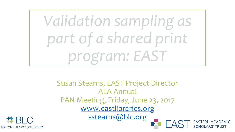*Validation sampling as part of a shared print program: EAST*

Susan Stearns, EAST Project Director ALA Annual PAN Meeting, Friday, June 23, 2017 [www.eastlibraries.org](http://www.eastlibraries.org/) [sstearns@blc.org](mailto:sstearns@blc.org) EAST EASTERN ACADEMIC

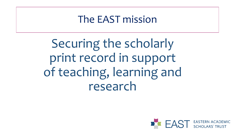### The EAST mission

Securing the scholarly print record in support of teaching, learning and research

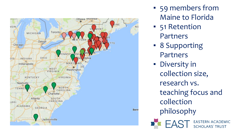

- 59 members from Maine to Florida
- 51 Retention Partners
- 8 Supporting Partners
- **·** Diversity in collection size, research vs. teaching focus and collection philosophy**ST** EASTERN ACADEMIC<br>SCHOLARS' TRUST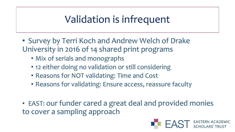# Validation is infrequent

- Survey by Terri Koch and Andrew Welch of Drake University in 2016 of 14 shared print programs
	- Mix of serials and monographs
	- 12 either doing no validation or still considering
	- Reasons for NOT validating: Time and Cost
	- Reasons for validating: Ensure access, reassure faculty
- EAST: our funder cared a great deal and provided monies to cover a sampling approach

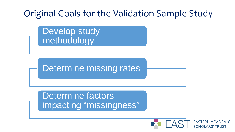## Original Goals for the Validation Sample Study

Develop study methodology

Determine missing rates

Determine factors impacting "missingness"

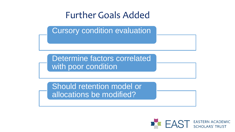#### Further Goals Added

Cursory condition evaluation

Determine factors correlated with poor condition

Should retention model or allocations be modified?

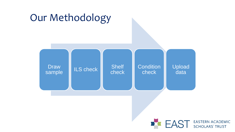

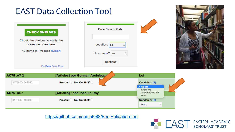

<https://github.com/samato88/EastValidationTool>

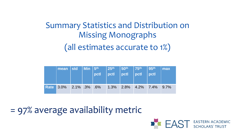## Summary Statistics and Distribution on Missing Monographs (all estimates accurate to 1%)

| mean   std   Min   5 <sup>th</sup>   25 <sup>th</sup>   50 <sup>th</sup>   75 <sup>th</sup>   95 <sup>th  </sup> |  | $ $ pctl | pctl | $ $ pctl | $ $ pctl                    | $\vert$ pctl | max |
|------------------------------------------------------------------------------------------------------------------|--|----------|------|----------|-----------------------------|--------------|-----|
| Rate 3.0% 2.1% 3% 6%                                                                                             |  |          |      |          | $1.3\%$ 2.8% 4.2% 7.4% 9.7% |              |     |

= 97% average availability metric

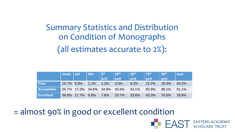Summary Statistics and Distribution on Condition of Monographs (all estimates accurate to 2%):

|                   | mean       | <b>std</b>       | <b>Min</b>              | 5 <sup>th</sup> | 25 <sup>th</sup> | 50th  | 75th  | $\vert$ 95th | max   |
|-------------------|------------|------------------|-------------------------|-----------------|------------------|-------|-------|--------------|-------|
|                   |            |                  |                         | pctl            | pctl             | pctl  | pctl  | pctl         |       |
| <b>Poor</b>       | 10.7% 9.8% |                  | 1.1%                    | 1.3%            | 3.0%             | 8.2%  | 15.2% | 29.3%        | 44.2% |
| <b>Acceptable</b> |            |                  | 55.7% 17.3% 34.8% 34.8% |                 | 45.5%            | 54.1% | 65.9% | 88.1%        | 91.1% |
| <b>Excellent</b>  |            | 36.6% 17.7% 6.8% |                         | 7.8%            | 20.7%            | 33.6% | 43.3% | 70.5%        | 78.8% |

= almost 90% in good or excellent condition

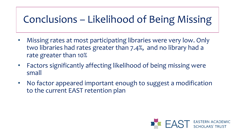# Conclusions – Likelihood of Being Missing

- Missing rates at most participating libraries were very low. Only two libraries had rates greater than 7.4%, and no library had a rate greater than 10%
- Factors significantly affecting likelihood of being missing were small
- No factor appeared important enough to suggest a modification to the current EAST retention plan

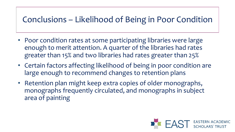#### Conclusions – Likelihood of Being in Poor Condition

- Poor condition rates at some participating libraries were large enough to merit attention. A quarter of the libraries had rates greater than 15% and two libraries had rates greater than 25%
- Certain factors affecting likelihood of being in poor condition are large enough to recommend changes to retention plans
- Retention plan might keep extra copies of older monographs, monographs frequently circulated, and monographs in subject area of painting

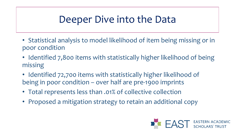## Deeper Dive into the Data

- Statistical analysis to model likelihood of item being missing or in poor condition
- Identified 7,800 items with statistically higher likelihood of being missing
- Identified 72,700 items with statistically higher likelihood of being in poor condition – over half are pre-1900 imprints
- Total represents less than .01% of collective collection
- Proposed a mitigation strategy to retain an additional copy

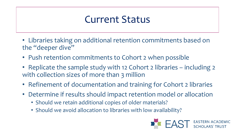## Current Status

- Libraries taking on additional retention commitments based on the "deeper dive"
- Push retention commitments to Cohort 2 when possible
- Replicate the sample study with 12 Cohort 2 libraries including 2 with collection sizes of more than 3 million
- Refinement of documentation and training for Cohort 2 libraries
- Determine if results should impact retention model or allocation
	- Should we retain additional copies of older materials?
	- Should we avoid allocation to libraries with low availability?